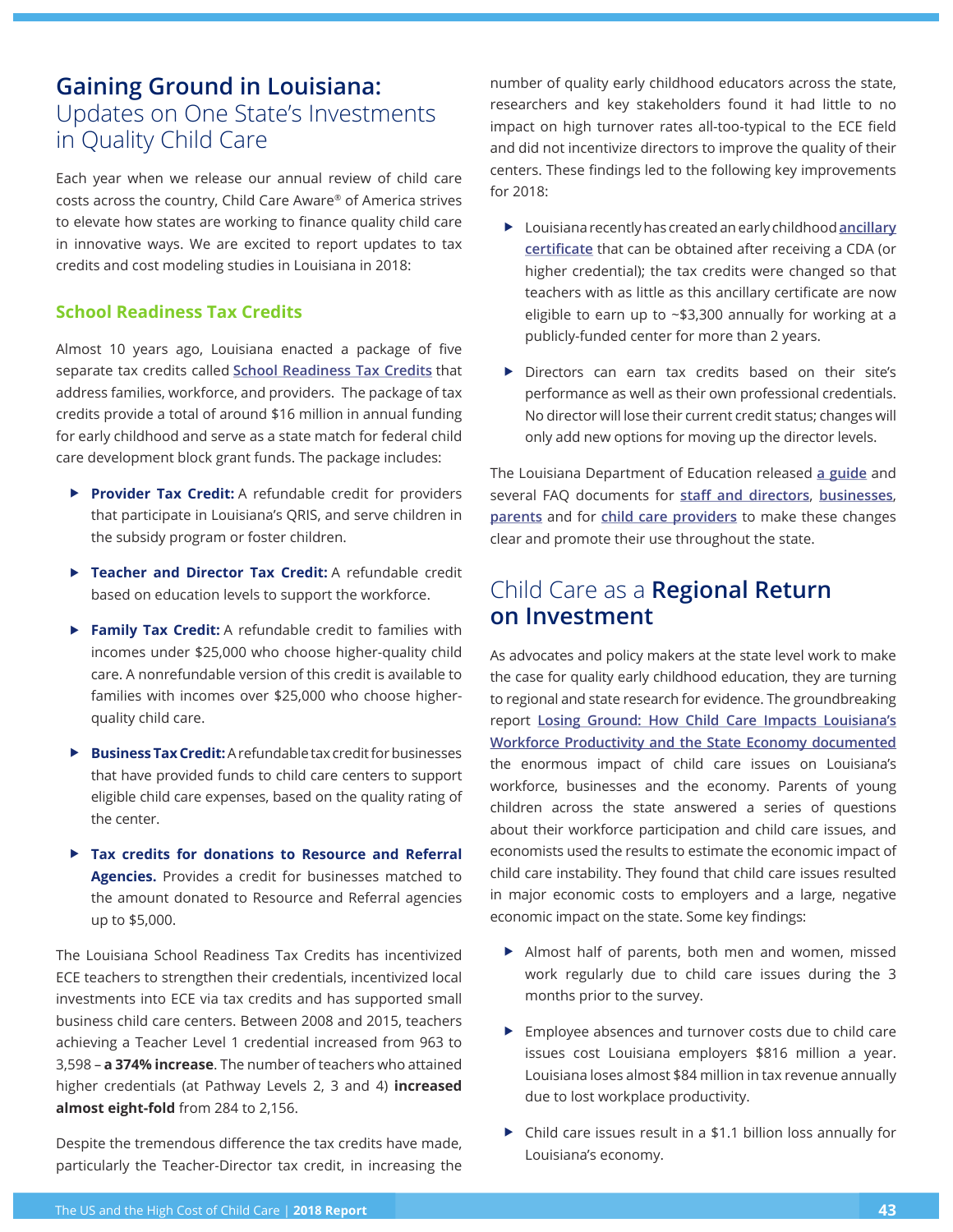## **Gaining Ground in Louisiana:**  Updates on One State's Investments in Quality Child Care

Each year when we release our annual review of child care costs across the country, Child Care Aware® of America strives to elevate how states are working to finance quality child care in innovative ways. We are excited to report updates to tax credits and cost modeling studies in Louisiana in 2018:

## **School Readiness Tax Credits**

Almost 10 years ago, Louisiana enacted a package of five separate tax credits called **School Readiness Tax Credits** that address families, workforce, and providers. The package of tax credits provide a total of around \$16 million in annual funding for early childhood and serve as a state match for federal child care development block grant funds. The package includes:

- ▶ **Provider Tax Credit:** A refundable credit for providers that participate in Louisiana's QRIS, and serve children in the subsidy program or foster children.
- ▶ Teacher and Director Tax Credit: A refundable credit based on education levels to support the workforce.
- **Family Tax Credit:** A refundable credit to families with incomes under \$25,000 who choose higher-quality child care. A nonrefundable version of this credit is available to families with incomes over \$25,000 who choose higherquality child care.
- ▶ **Business Tax Credit:** A refundable tax credit for businesses that have provided funds to child care centers to support eligible child care expenses, based on the quality rating of the center.
- ▶ Tax credits for donations to Resource and Referral **Agencies.** Provides a credit for businesses matched to the amount donated to Resource and Referral agencies up to \$5,000.

The Louisiana School Readiness Tax Credits has incentivized ECE teachers to strengthen their credentials, incentivized local investments into ECE via tax credits and has supported small business child care centers. Between 2008 and 2015, teachers achieving a Teacher Level 1 credential increased from 963 to 3,598 – **a 374% increase**. The number of teachers who attained higher credentials (at Pathway Levels 2, 3 and 4) **increased almost eight-fold** from 284 to 2,156.

Despite the tremendous diference the tax credits have made, particularly the Teacher-Director tax credit, in increasing the

number of quality early childhood educators across the state, researchers and key stakeholders found it had little to no impact on high turnover rates all-too-typical to the ECE feld and did not incentivize directors to improve the quality of their centers. These fndings led to the following key improvements for 2018:

- X Louisiana recently has created an early childhood **ancillary certifcate** that can be obtained after receiving a CDA (or higher credential); the tax credits were changed so that teachers with as little as this ancillary certificate are now eligible to earn up to ~\$3,300 annually for working at a publicly-funded center for more than 2 years.
- $\triangleright$  Directors can earn tax credits based on their site's performance as well as their own professional credentials. No director will lose their current credit status; changes will only add new options for moving up the director levels.

The Louisiana Department of Education released **a guide** and several FAQ documents for staff and directors, businesses, **parents** and for **child care providers** to make these changes clear and promote their use throughout the state.

## Child Care as a **Regional Return on Investment**

As advocates and policy makers at the state level work to make the case for quality early childhood education, they are turning to regional and state research for evidence. The groundbreaking report **Losing Ground: How Child Care Impacts Louisiana's Workforce Productivity and the State Economy documented** the enormous impact of child care issues on Louisiana's workforce, businesses and the economy. Parents of young children across the state answered a series of questions about their workforce participation and child care issues, and economists used the results to estimate the economic impact of child care instability. They found that child care issues resulted in major economic costs to employers and a large, negative economic impact on the state. Some key findings:

- $\blacktriangleright$  Almost half of parents, both men and women, missed work regularly due to child care issues during the 3 months prior to the survey.
- $\blacktriangleright$  Employee absences and turnover costs due to child care issues cost Louisiana employers \$816 million a year. Louisiana loses almost \$84 million in tax revenue annually due to lost workplace productivity.
- $\triangleright$  Child care issues result in a \$1.1 billion loss annually for Louisiana's economy.